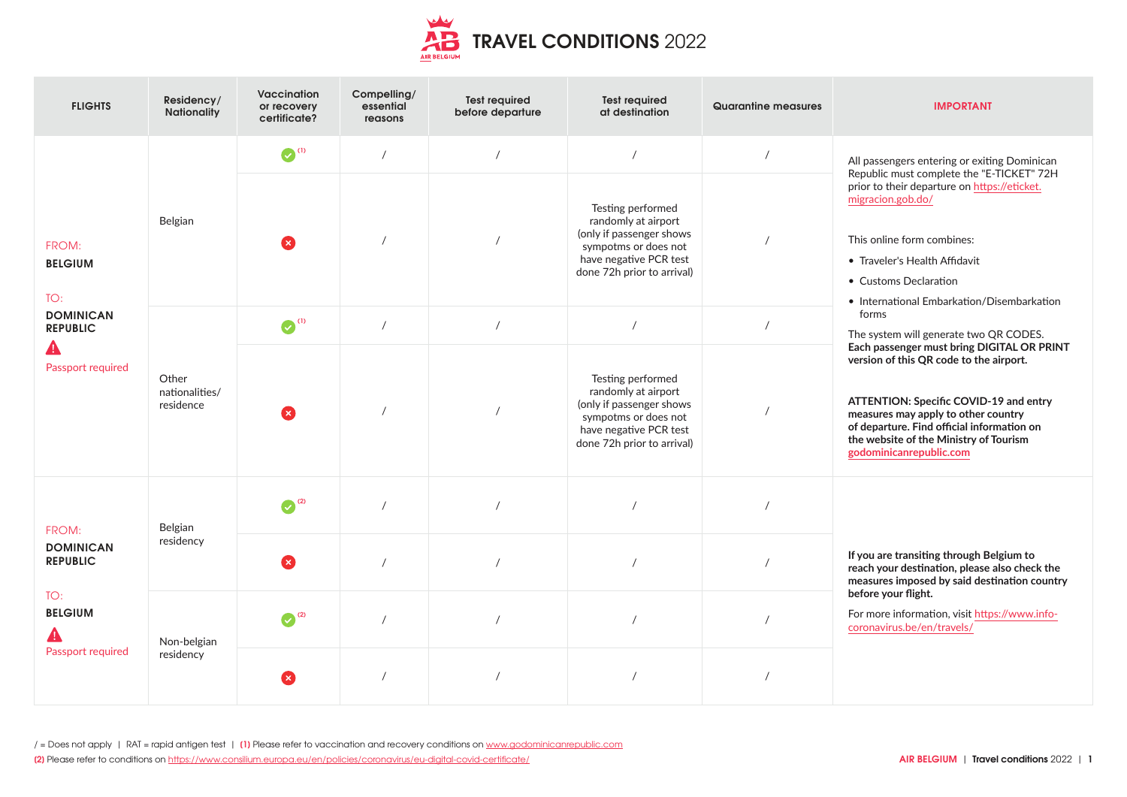

| <b>FLIGHTS</b>                                                                             | Residency/<br><b>Nationality</b>     | Vaccination<br>or recovery<br>certificate? | Compelling/<br>essential<br>reasons | <b>Test required</b><br>before departure | <b>Test required</b><br>at destination                                                                                                               | Quarantine measures | <b>IMPORTANT</b>                                                                                                                                                                                                                                                                                                                                                                                                                                                                                                                                                                                                                                     |
|--------------------------------------------------------------------------------------------|--------------------------------------|--------------------------------------------|-------------------------------------|------------------------------------------|------------------------------------------------------------------------------------------------------------------------------------------------------|---------------------|------------------------------------------------------------------------------------------------------------------------------------------------------------------------------------------------------------------------------------------------------------------------------------------------------------------------------------------------------------------------------------------------------------------------------------------------------------------------------------------------------------------------------------------------------------------------------------------------------------------------------------------------------|
| FROM:<br><b>BELGIUM</b><br>TO:<br><b>DOMINICAN</b><br><b>REPUBLIC</b><br>Passport required | Belgian                              | $\odot$ <sup>(1)</sup>                     | $\prime$                            | $\prime$                                 | $\prime$                                                                                                                                             | $\prime$            | All passengers entering or exiting Dominican<br>Republic must complete the "E-TICKET" 72H<br>prior to their departure on https://eticket.<br>migracion.gob.do/<br>This online form combines:<br>• Traveler's Health Affidavit<br>• Customs Declaration<br>• International Embarkation/Disembarkation<br>forms<br>The system will generate two QR CODES.<br>Each passenger must bring DIGITAL OR PRINT<br>version of this QR code to the airport.<br>ATTENTION: Specific COVID-19 and entry<br>measures may apply to other country<br>of departure. Find official information on<br>the website of the Ministry of Tourism<br>godominicanrepublic.com |
|                                                                                            |                                      | ×                                          |                                     |                                          | Testing performed<br>randomly at airport<br>(only if passenger shows<br>sympotms or does not<br>have negative PCR test<br>done 72h prior to arrival) | $\sqrt{2}$          |                                                                                                                                                                                                                                                                                                                                                                                                                                                                                                                                                                                                                                                      |
|                                                                                            | Other<br>nationalities/<br>residence | $\bullet$ <sup>(1)</sup>                   | $\prime$                            | $\overline{1}$                           | $\prime$                                                                                                                                             | $\sqrt{ }$          |                                                                                                                                                                                                                                                                                                                                                                                                                                                                                                                                                                                                                                                      |
|                                                                                            |                                      | ×                                          |                                     |                                          | Testing performed<br>randomly at airport<br>(only if passenger shows<br>sympotms or does not<br>have negative PCR test<br>done 72h prior to arrival) | $\prime$            |                                                                                                                                                                                                                                                                                                                                                                                                                                                                                                                                                                                                                                                      |
| FROM:<br><b>DOMINICAN</b><br><b>REPUBLIC</b><br>TO:<br><b>BELGIUM</b><br>Passport required | Belgian<br>residency                 | $\bigodot$ <sup>(2)</sup>                  |                                     |                                          |                                                                                                                                                      | $\prime$            |                                                                                                                                                                                                                                                                                                                                                                                                                                                                                                                                                                                                                                                      |
|                                                                                            |                                      | ×                                          | $\prime$                            |                                          | $\sqrt{ }$                                                                                                                                           |                     | If you are transiting through Belgium to<br>reach your destination, please also check the<br>measures imposed by said destination country                                                                                                                                                                                                                                                                                                                                                                                                                                                                                                            |
|                                                                                            | Non-belgian<br>residency             | $\odot$ <sup>(2)</sup>                     |                                     |                                          | $\prime$                                                                                                                                             |                     | before your flight.<br>For more information, visit https://www.info-<br>coronavirus.be/en/travels/                                                                                                                                                                                                                                                                                                                                                                                                                                                                                                                                                   |
|                                                                                            |                                      | ×                                          | $\prime$                            |                                          |                                                                                                                                                      |                     |                                                                                                                                                                                                                                                                                                                                                                                                                                                                                                                                                                                                                                                      |

/ = Does not apply | RAT = rapid antigen test | **[1]** Please refer to vaccination and recovery conditions on [www.godominicanrepublic.com](http://www.godominicanrepublic.com)

**[2]** Please refer to conditions on <https://www.consilium.europa.eu/en/policies/coronavirus/eu-digital-covid-certificate/>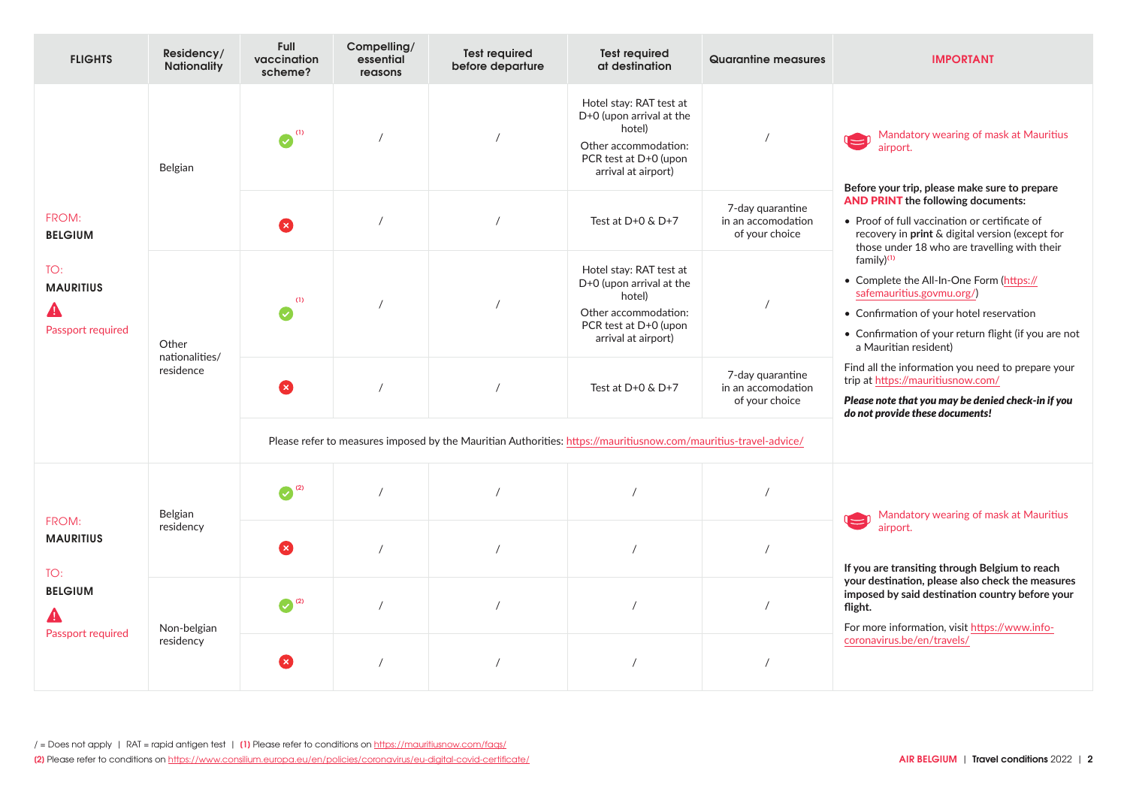| <b>FLIGHTS</b>                                                          | Residency/<br><b>Nationality</b>     | Full<br>vaccination<br>scheme? | Compelling/<br>essential<br>reasons                                                                              | <b>Test required</b><br>before departure | <b>Test required</b><br>at destination                                                                                                | Quarantine measures                                      | <b>IMPORTANT</b>                                                                                                                                                                                                             |
|-------------------------------------------------------------------------|--------------------------------------|--------------------------------|------------------------------------------------------------------------------------------------------------------|------------------------------------------|---------------------------------------------------------------------------------------------------------------------------------------|----------------------------------------------------------|------------------------------------------------------------------------------------------------------------------------------------------------------------------------------------------------------------------------------|
| FROM:<br><b>BELGIUM</b><br>TO:<br><b>MAURITIUS</b><br>Passport required | Belgian                              | (1)<br>$\bullet$               |                                                                                                                  |                                          | Hotel stay: RAT test at<br>D+0 (upon arrival at the<br>hotel)<br>Other accommodation:<br>PCR test at D+0 (upon<br>arrival at airport) |                                                          | Mandatory wearing of mask at Mauritius<br>airport.<br>Before your trip, please make sure to prepare                                                                                                                          |
|                                                                         |                                      | Œ                              |                                                                                                                  | $\sqrt{2}$                               | Test at $D+O$ & $D+7$                                                                                                                 | 7-day quarantine<br>in an accomodation<br>of your choice | <b>AND PRINT the following documents:</b><br>• Proof of full vaccination or certificate of<br>recovery in print & digital version (except for<br>those under 18 who are travelling with their                                |
|                                                                         | Other<br>nationalities/<br>residence | (1)<br>$\boldsymbol{\sigma}$   |                                                                                                                  |                                          | Hotel stay: RAT test at<br>D+0 (upon arrival at the<br>hotel)<br>Other accommodation:<br>PCR test at D+0 (upon<br>arrival at airport) |                                                          | family) <sup>(1)</sup><br>• Complete the All-In-One Form (https://<br>safemauritius.govmu.org/)<br>• Confirmation of your hotel reservation<br>• Confirmation of your return flight (if you are not<br>a Mauritian resident) |
|                                                                         |                                      | ظ                              |                                                                                                                  | $\prime$                                 | Test at $D+O$ & $D+7$                                                                                                                 | 7-day quarantine<br>in an accomodation<br>of your choice | Find all the information you need to prepare your<br>trip at https://mauritiusnow.com/<br>Please note that you may be denied check-in if you<br>do not provide these documents!                                              |
|                                                                         |                                      |                                | Please refer to measures imposed by the Mauritian Authorities: https://mauritiusnow.com/mauritius-travel-advice/ |                                          |                                                                                                                                       |                                                          |                                                                                                                                                                                                                              |
| FROM:<br><b>MAURITIUS</b><br>TO:<br><b>BELGIUM</b><br>Passport required | Belgian<br>residency                 | $\bigodot$ <sup>(2)</sup>      |                                                                                                                  |                                          |                                                                                                                                       |                                                          | Mandatory wearing of mask at Mauritius                                                                                                                                                                                       |
|                                                                         |                                      | ×                              |                                                                                                                  |                                          |                                                                                                                                       |                                                          | airport.<br>If you are transiting through Belgium to reach                                                                                                                                                                   |
|                                                                         | Non-belgian<br>residency             | $\odot$ <sup>(2)</sup>         | $\prime$                                                                                                         |                                          | $\prime$                                                                                                                              |                                                          | your destination, please also check the measures<br>imposed by said destination country before your<br>flight.<br>For more information, visit https://www.info-                                                              |
|                                                                         |                                      | ×                              |                                                                                                                  | $\prime$                                 |                                                                                                                                       |                                                          | coronavirus.be/en/travels/                                                                                                                                                                                                   |

**[2]** Please refer to conditions on <https://www.consilium.europa.eu/en/policies/coronavirus/eu-digital-covid-certificate/> **AIR BELGIUM** | **Travel conditions** 2022 | **2**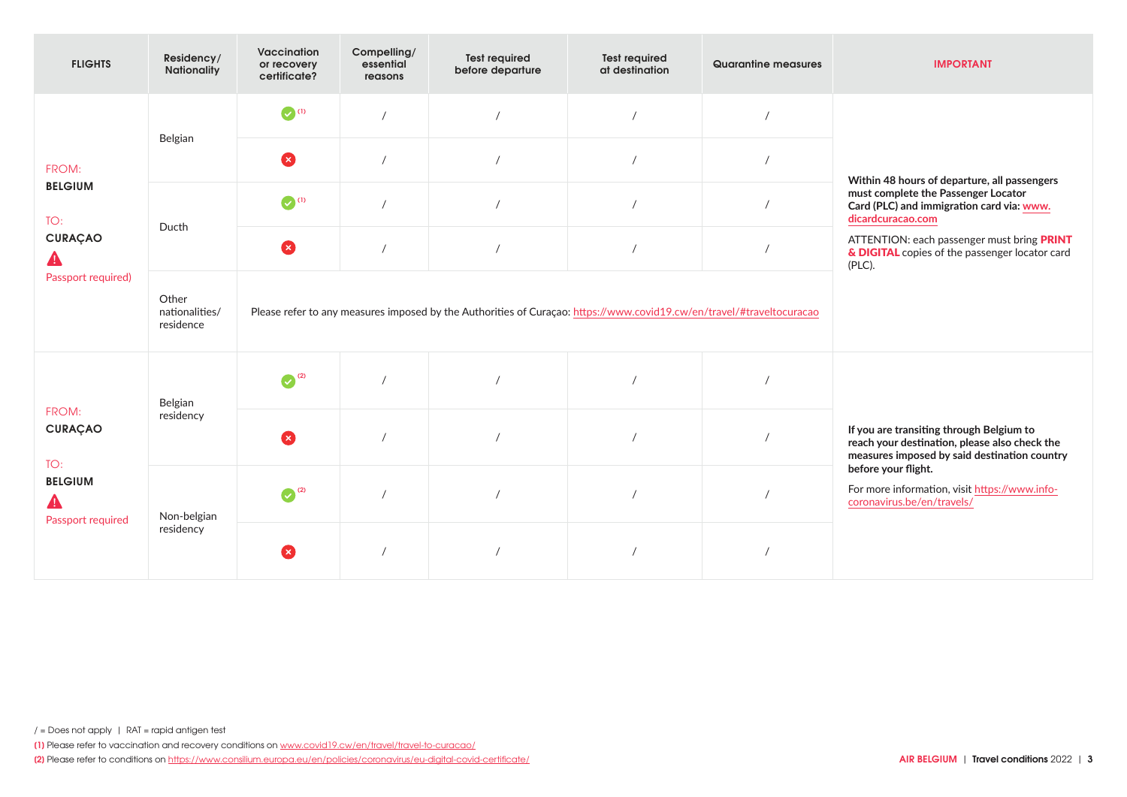| <b>FLIGHTS</b>                                                         | Residency/<br>Nationality            | Vaccination<br>or recovery<br>certificate?                                                                            | Compelling/<br>essential<br>reasons | <b>Test required</b><br>before departure | <b>Test required</b><br>at destination | Quarantine measures | <b>IMPORTANT</b>                                                                                                                                                                                                |
|------------------------------------------------------------------------|--------------------------------------|-----------------------------------------------------------------------------------------------------------------------|-------------------------------------|------------------------------------------|----------------------------------------|---------------------|-----------------------------------------------------------------------------------------------------------------------------------------------------------------------------------------------------------------|
| FROM:<br><b>BELGIUM</b><br>TO:<br><b>CURAÇAO</b><br>Passport required) | Belgian                              | $\bullet$ (1)                                                                                                         | $\prime$                            |                                          | $\sqrt{ }$                             |                     |                                                                                                                                                                                                                 |
|                                                                        |                                      | Ø                                                                                                                     | $\prime$                            |                                          |                                        |                     | Within 48 hours of departure, all passengers                                                                                                                                                                    |
|                                                                        | Ducth                                | $\bigcirc$ (1)                                                                                                        | $\prime$                            |                                          |                                        |                     | must complete the Passenger Locator<br>Card (PLC) and immigration card via: www.<br>dicardcuracao.com<br>ATTENTION: each passenger must bring PRINT<br>& DIGITAL copies of the passenger locator card<br>(PLC). |
|                                                                        |                                      | 2                                                                                                                     | $\sqrt{ }$                          |                                          |                                        |                     |                                                                                                                                                                                                                 |
|                                                                        | Other<br>nationalities/<br>residence | Please refer to any measures imposed by the Authorities of Curaçao: https://www.covid19.cw/en/travel/#traveltocuracao |                                     |                                          |                                        |                     |                                                                                                                                                                                                                 |
| FROM:<br><b>CURAÇAO</b><br>TO:<br><b>BELGIUM</b><br>Passport required  | Belgian<br>residency                 | $\odot$ <sup>(2)</sup>                                                                                                |                                     |                                          |                                        |                     |                                                                                                                                                                                                                 |
|                                                                        |                                      | Ø                                                                                                                     |                                     |                                          |                                        |                     | If you are transiting through Belgium to<br>reach your destination, please also check the<br>measures imposed by said destination country                                                                       |
|                                                                        | Non-belgian<br>residency             | $\odot$ <sup>(2)</sup>                                                                                                |                                     |                                          |                                        |                     | before your flight.<br>For more information, visit https://www.info-<br>coronavirus.be/en/travels/                                                                                                              |
|                                                                        |                                      | œ                                                                                                                     |                                     |                                          |                                        |                     |                                                                                                                                                                                                                 |

**[1]** Please refer to vaccination and recovery conditions on [www.covid19.cw/en/travel/travel-to-curacao/](http://www.covid19.cw/en/travel/travel-to-curacao/)

**[2]** Please refer to conditions on <https://www.consilium.europa.eu/en/policies/coronavirus/eu-digital-covid-certificate/>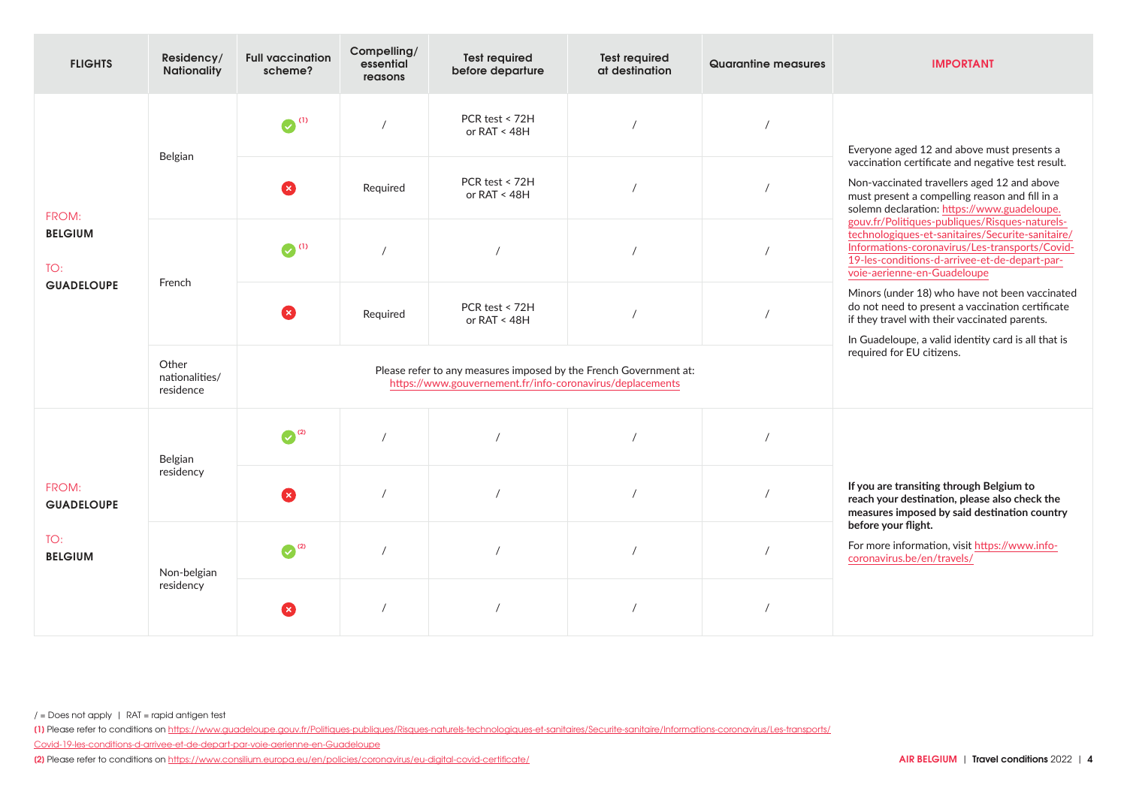| <b>FLIGHTS</b>                                      | Residency/<br><b>Nationality</b>     | <b>Full vaccination</b><br>scheme? | Compelling/<br>essential<br>reasons                                                                                            | <b>Test required</b><br>before departure | <b>Test required</b><br>at destination | Quarantine measures | <b>IMPORTANT</b>                                                                                                                                                                                                                                                                                                                                                                                                                                                                        |
|-----------------------------------------------------|--------------------------------------|------------------------------------|--------------------------------------------------------------------------------------------------------------------------------|------------------------------------------|----------------------------------------|---------------------|-----------------------------------------------------------------------------------------------------------------------------------------------------------------------------------------------------------------------------------------------------------------------------------------------------------------------------------------------------------------------------------------------------------------------------------------------------------------------------------------|
| FROM:<br><b>BELGIUM</b><br>TO:<br><b>GUADELOUPE</b> | Belgian                              | $\odot$ <sup>(1)</sup>             |                                                                                                                                | PCR test $<$ 72H<br>or $RAT < 48H$       |                                        |                     | Everyone aged 12 and above must presents a<br>vaccination certificate and negative test result.<br>Non-vaccinated travellers aged 12 and above<br>must present a compelling reason and fill in a<br>solemn declaration: https://www.guadeloupe.<br>gouv.fr/Politiques-publiques/Risques-naturels-<br>technologiques-et-sanitaires/Securite-sanitaire/<br>Informations-coronavirus/Les-transports/Covid-<br>19-les-conditions-d-arrivee-et-de-depart-par-<br>voie-aerienne-en-Guadeloupe |
|                                                     |                                      | Ø                                  | Required                                                                                                                       | PCR test < 72H<br>or RAT < 48H           |                                        |                     |                                                                                                                                                                                                                                                                                                                                                                                                                                                                                         |
|                                                     | French                               | $\odot$ <sup>(1)</sup>             |                                                                                                                                | $\sqrt{ }$                               |                                        |                     |                                                                                                                                                                                                                                                                                                                                                                                                                                                                                         |
|                                                     |                                      | Ø                                  | Required                                                                                                                       | PCR test < 72H<br>or RAT < 48H           |                                        |                     | Minors (under 18) who have not been vaccinated<br>do not need to present a vaccination certificate<br>if they travel with their vaccinated parents.<br>In Guadeloupe, a valid identity card is all that is                                                                                                                                                                                                                                                                              |
|                                                     | Other<br>nationalities/<br>residence |                                    | Please refer to any measures imposed by the French Government at:<br>https://www.gouvernement.fr/info-coronavirus/deplacements | required for EU citizens.                |                                        |                     |                                                                                                                                                                                                                                                                                                                                                                                                                                                                                         |
| FROM:<br><b>GUADELOUPE</b><br>TO:<br><b>BELGIUM</b> | Belgian<br>residency                 | $\odot$ <sup>(2)</sup>             |                                                                                                                                |                                          |                                        |                     |                                                                                                                                                                                                                                                                                                                                                                                                                                                                                         |
|                                                     |                                      | Ø                                  |                                                                                                                                |                                          |                                        |                     | If you are transiting through Belgium to<br>reach your destination, please also check the<br>measures imposed by said destination country<br>before your flight.                                                                                                                                                                                                                                                                                                                        |
|                                                     | Non-belgian<br>residency             | $\bigodot$ <sup>(2)</sup>          |                                                                                                                                |                                          |                                        |                     | For more information, visit https://www.info-<br>coronavirus.be/en/travels/                                                                                                                                                                                                                                                                                                                                                                                                             |
|                                                     |                                      | ×                                  |                                                                                                                                |                                          |                                        |                     |                                                                                                                                                                                                                                                                                                                                                                                                                                                                                         |

**<sup>[1]</sup>** Please refer to conditions on [https://www.guadeloupe.gouv.fr/Politiques-publiques/Risques-naturels-technologiques-et-sanitaires/Securite-sanitaire/Informations-coronavirus/Les-transports/](https://www.guadeloupe.gouv.fr/Politiques-publiques/Risques-naturels-technologiques-et-sanitaires/Se)

[Covid-19-les-conditions-d-arrivee-et-de-depart-par-voie-aerienne-en-Guadeloupe](https://www.guadeloupe.gouv.fr/Politiques-publiques/Risques-naturels-technologiques-et-sanitaires/Se)

**<sup>[2]</sup>** Please refer to conditions on <https://www.consilium.europa.eu/en/policies/coronavirus/eu-digital-covid-certificate/>